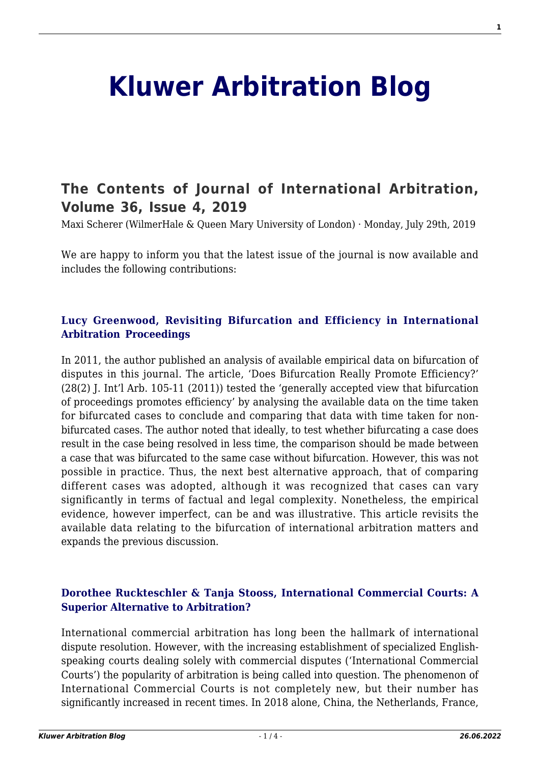# **[Kluwer Arbitration Blog](http://arbitrationblog.kluwerarbitration.com/)**

# **[The Contents of Journal of International Arbitration,](http://arbitrationblog.kluwerarbitration.com/2019/07/29/the-contents-of-journal-of-international-arbitration-volume-36-issue-4-2019/) [Volume 36, Issue 4, 2019](http://arbitrationblog.kluwerarbitration.com/2019/07/29/the-contents-of-journal-of-international-arbitration-volume-36-issue-4-2019/)**

Maxi Scherer (WilmerHale & Queen Mary University of London) · Monday, July 29th, 2019

We are happy to inform you that the latest issue of the journal is now available and includes the following contributions:

# **[Lucy Greenwood, Revisiting Bifurcation and Efficiency in International](http://www.kluwerlawonline.com/abstract.php?area=Journals&id=JOIA2019021) [Arbitration Proceedings](http://www.kluwerlawonline.com/abstract.php?area=Journals&id=JOIA2019021)**

In 2011, the author published an analysis of available empirical data on bifurcation of disputes in this journal. The article, 'Does Bifurcation Really Promote Efficiency?' (28(2) J. Int'l Arb. 105-11 (2011)) tested the 'generally accepted view that bifurcation of proceedings promotes efficiency' by analysing the available data on the time taken for bifurcated cases to conclude and comparing that data with time taken for nonbifurcated cases. The author noted that ideally, to test whether bifurcating a case does result in the case being resolved in less time, the comparison should be made between a case that was bifurcated to the same case without bifurcation. However, this was not possible in practice. Thus, the next best alternative approach, that of comparing different cases was adopted, although it was recognized that cases can vary significantly in terms of factual and legal complexity. Nonetheless, the empirical evidence, however imperfect, can be and was illustrative. This article revisits the available data relating to the bifurcation of international arbitration matters and expands the previous discussion.

# **[Dorothee Ruckteschler & Tanja Stooss, International Commercial Courts: A](http://www.kluwerlawonline.com/abstract.php?area=Journals&id=JOIA2019022) [Superior Alternative to Arbitration?](http://www.kluwerlawonline.com/abstract.php?area=Journals&id=JOIA2019022)**

International commercial arbitration has long been the hallmark of international dispute resolution. However, with the increasing establishment of specialized Englishspeaking courts dealing solely with commercial disputes ('International Commercial Courts') the popularity of arbitration is being called into question. The phenomenon of International Commercial Courts is not completely new, but their number has significantly increased in recent times. In 2018 alone, China, the Netherlands, France,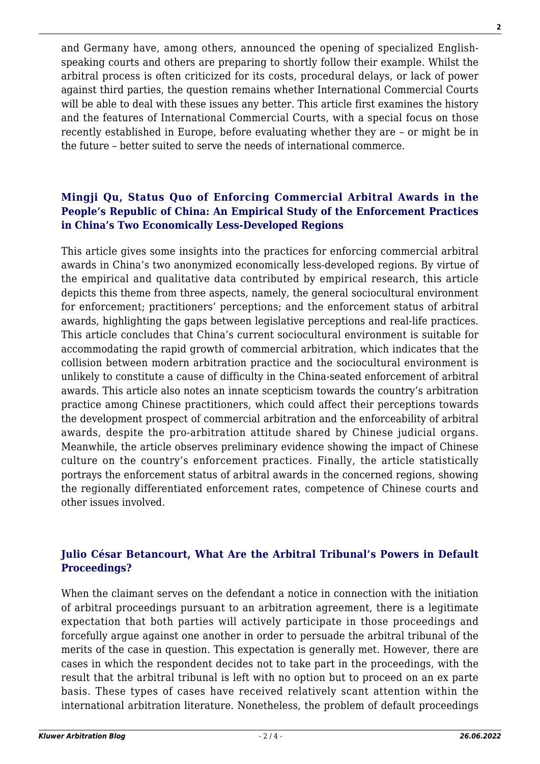and Germany have, among others, announced the opening of specialized Englishspeaking courts and others are preparing to shortly follow their example. Whilst the arbitral process is often criticized for its costs, procedural delays, or lack of power against third parties, the question remains whether International Commercial Courts will be able to deal with these issues any better. This article first examines the history and the features of International Commercial Courts, with a special focus on those recently established in Europe, before evaluating whether they are – or might be in the future – better suited to serve the needs of international commerce.

### **[Mingji Qu, Status Quo of Enforcing Commercial Arbitral Awards in the](http://www.kluwerlawonline.com/abstract.php?area=Journals&id=JOIA2019023) [People's Republic of China: An Empirical Study of the Enforcement Practices](http://www.kluwerlawonline.com/abstract.php?area=Journals&id=JOIA2019023) [in China's Two Economically Less-Developed Regions](http://www.kluwerlawonline.com/abstract.php?area=Journals&id=JOIA2019023)**

This article gives some insights into the practices for enforcing commercial arbitral awards in China's two anonymized economically less-developed regions. By virtue of the empirical and qualitative data contributed by empirical research, this article depicts this theme from three aspects, namely, the general sociocultural environment for enforcement; practitioners' perceptions; and the enforcement status of arbitral awards, highlighting the gaps between legislative perceptions and real-life practices. This article concludes that China's current sociocultural environment is suitable for accommodating the rapid growth of commercial arbitration, which indicates that the collision between modern arbitration practice and the sociocultural environment is unlikely to constitute a cause of difficulty in the China-seated enforcement of arbitral awards. This article also notes an innate scepticism towards the country's arbitration practice among Chinese practitioners, which could affect their perceptions towards the development prospect of commercial arbitration and the enforceability of arbitral awards, despite the pro-arbitration attitude shared by Chinese judicial organs. Meanwhile, the article observes preliminary evidence showing the impact of Chinese culture on the country's enforcement practices. Finally, the article statistically portrays the enforcement status of arbitral awards in the concerned regions, showing the regionally differentiated enforcement rates, competence of Chinese courts and other issues involved.

# **[Julio César Betancourt, What Are the Arbitral Tribunal's Powers in Default](http://www.kluwerlawonline.com/abstract.php?area=Journals&id=JOIA2019024) [Proceedings?](http://www.kluwerlawonline.com/abstract.php?area=Journals&id=JOIA2019024)**

When the claimant serves on the defendant a notice in connection with the initiation of arbitral proceedings pursuant to an arbitration agreement, there is a legitimate expectation that both parties will actively participate in those proceedings and forcefully argue against one another in order to persuade the arbitral tribunal of the merits of the case in question. This expectation is generally met. However, there are cases in which the respondent decides not to take part in the proceedings, with the result that the arbitral tribunal is left with no option but to proceed on an ex parte basis. These types of cases have received relatively scant attention within the international arbitration literature. Nonetheless, the problem of default proceedings

**2**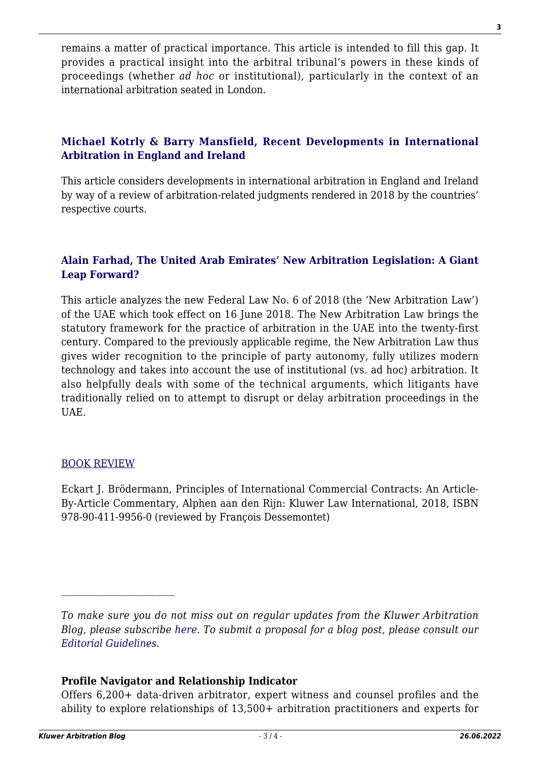remains a matter of practical importance. This article is intended to fill this gap. It provides a practical insight into the arbitral tribunal's powers in these kinds of proceedings (whether *ad hoc* or institutional), particularly in the context of an international arbitration seated in London.

# **[Michael Kotrly & Barry Mansfield, Recent Developments in International](http://www.kluwerlawonline.com/abstract.php?area=Journals&id=JOIA2019025) [Arbitration in England and Ireland](http://www.kluwerlawonline.com/abstract.php?area=Journals&id=JOIA2019025)**

This article considers developments in international arbitration in England and Ireland by way of a review of arbitration-related judgments rendered in 2018 by the countries' respective courts.

### **[Alain Farhad, The United Arab Emirates' New Arbitration Legislation: A Giant](http://www.kluwerlawonline.com/abstract.php?area=Journals&id=JOIA2019026) [Leap Forward?](http://www.kluwerlawonline.com/abstract.php?area=Journals&id=JOIA2019026)**

This article analyzes the new Federal Law No. 6 of 2018 (the 'New Arbitration Law') of the UAE which took effect on 16 June 2018. The New Arbitration Law brings the statutory framework for the practice of arbitration in the UAE into the twenty-first century. Compared to the previously applicable regime, the New Arbitration Law thus gives wider recognition to the principle of party autonomy, fully utilizes modern technology and takes into account the use of institutional (vs. ad hoc) arbitration. It also helpfully deals with some of the technical arguments, which litigants have traditionally relied on to attempt to disrupt or delay arbitration proceedings in the UAE.

### [BOOK REVIEW](http://www.kluwerlawonline.com/abstract.php?area=Journals&id=JOIA2019027)

Eckart J. Brödermann, Principles of International Commercial Contracts: An Article-By-Article Commentary, Alphen aan den Rijn: Kluwer Law International, 2018, ISBN 978-90-411-9956-0 (reviewed by François Dessemontet)

### **Profile Navigator and Relationship Indicator**

Offers 6,200+ data-driven arbitrator, expert witness and counsel profiles and the ability to explore relationships of 13,500+ arbitration practitioners and experts for

*To make sure you do not miss out on regular updates from the Kluwer Arbitration Blog, please subscribe [here](http://arbitrationblog.kluwerarbitration.com/newsletter/). To submit a proposal for a blog post, please consult our [Editorial Guidelines.](http://arbitrationblog.kluwerarbitration.com/editorial-guidelines/)*